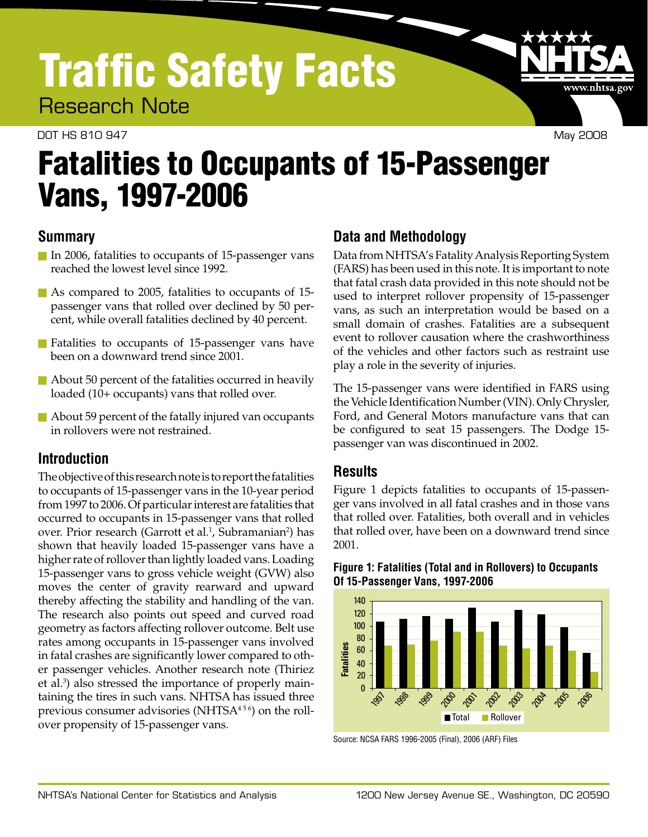# Traffic Safety Facts

Research Note

#### DOT HS 810 947 May 2008

www.nhtsa.gov

# Fatalities to Occupants of 15-Passenger Vans, 1997-2006

## **Summary**

- n In 2006, fatalities to occupants of 15-passenger vans reached the lowest level since 1992.
- $\blacksquare$  As compared to 2005, fatalities to occupants of 15passenger vans that rolled over declined by 50 per cent, while overall fatalities declined by 40 percent.
- **n** Fatalities to occupants of 15-passenger vans have been on a downward trend since 2001.
- $\blacksquare$  About 50 percent of the fatalities occurred in heavily loaded (10+ occupants) vans that rolled over.
- $\blacksquare$  About 59 percent of the fatally injured van occupants in rollovers were not restrained.

## **Introduction**

The objective of this research note is to report the fatalities to occupants of 15-passenger vans in the 10-year period from 1997 to 2006. Of particular interest are fatalities that occurred to occupants in 15-passenger vans that rolled over. Prior research (Garrott et al.<sup>1</sup>, Subramanian<sup>2</sup>) has shown that heavily loaded 15-passenger vans have a higher rate of rollover than lightly loaded vans. Loading 15-passenger vans to gross vehicle weight (GVW) also moves the center of gravity rearward and upward thereby affecting the stability and handling of the van. The research also points out speed and curved road geometry as factors affecting rollover outcome. Belt use rates among occupants in 15-passenger vans involved in fatal crashes are significantly lower compared to oth er passenger vehicles. Another research note (Thiriez et al.3 ) also stressed the importance of properly main taining the tires in such vans. NHTSA has issued three previous consumer advisories (NHTSA<sup>456</sup>) on the rollover propensity of 15-passenger vans.

# **Data and Methodology**

Data from NHTSA's Fatality Analysis Reporting System (FARS) has been used in this note. It is important to note that fatal crash data provided in this note should not be used to interpret rollover propensity of 15-passenger vans, as such an interpretation would be based on a small domain of crashes. Fatalities are a subsequent event to rollover causation where the crashworthiness of the vehicles and other factors such as restraint use play a role in the severity of injuries.

The 15-passenger vans were identified in FARS using the Vehicle Identification Number (VIN). Only Chrysler, Ford, and General Motors manufacture vans that can be configured to seat 15 passengers. The Dodge 15 passenger van was discontinued in 2002.

#### **Results**

Figure 1 depicts fatalities to occupants of 15-passen ger vans involved in all fatal crashes and in those vans that rolled over. Fatalities, both overall and in vehicles that rolled over, have been on a downward trend since 2001.

#### **Figure 1: Fatalities (Total and in Rollovers) to Occupants Of 15-Passenger Vans, 1997-2006**



Source: NCSA FARS 1996-2005 (Final), 2006 (ARF) Files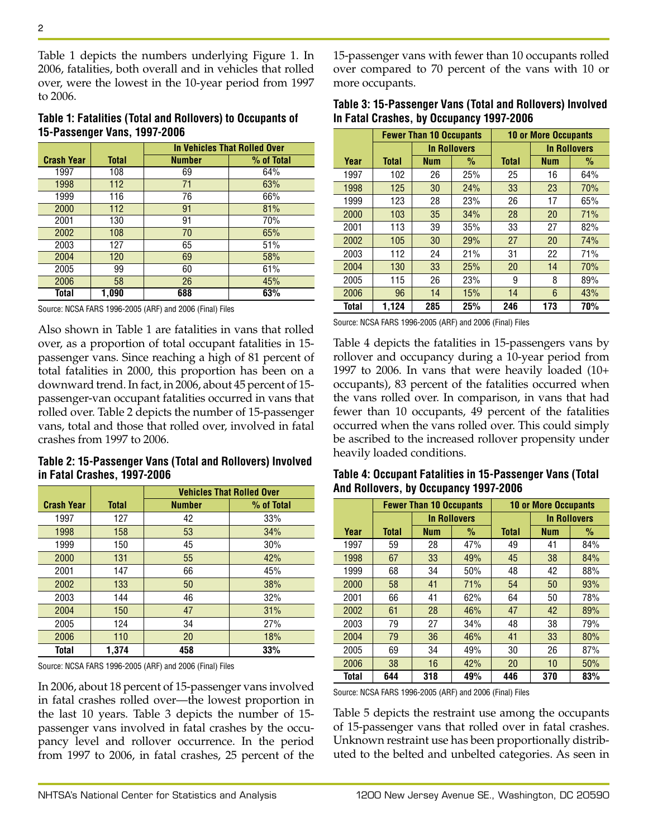Table 1 depicts the numbers underlying Figure 1. In 2006, fatalities, both overall and in vehicles that rolled over, were the lowest in the 10-year period from 1997 to 2006.

**Table 1: Fatalities (Total and Rollovers) to Occupants of 15-Passenger Vans, 1997-2006**

|                   |              | In Vehicles That Rolled Over |            |  |
|-------------------|--------------|------------------------------|------------|--|
| <b>Crash Year</b> | <b>Total</b> | <b>Number</b>                | % of Total |  |
| 1997              | 108          | 69                           | 64%        |  |
| 1998              | 112          | 71                           | 63%        |  |
| 1999              | 116          | 76                           | 66%        |  |
| 2000              | 112          | 91                           | 81%        |  |
| 2001              | 130          | 91                           | 70%        |  |
| 2002              | 108          | 70                           | 65%        |  |
| 2003              | 127          | 65                           | 51%        |  |
| 2004              | 120          | 69                           | 58%        |  |
| 2005              | 99           | 60                           | 61%        |  |
| 2006              | 58           | 26                           | 45%        |  |
| Total             | 1,090        | 688                          | 63%        |  |

Source: NCSA FARS 1996-2005 (ARF) and 2006 (Final) Files

Also shown in Table 1 are fatalities in vans that rolled over, as a proportion of total occupant fatalities in 15 passenger vans. Since reaching a high of 81 percent of total fatalities in 2000, this proportion has been on a downward trend. In fact, in 2006, about 45 percent of 15 passenger-van occupant fatalities occurred in vans that rolled over. Table 2 depicts the number of 15-passenger vans, total and those that rolled over, involved in fatal crashes from 1997 to 2006.

**Table 2: 15-Passenger Vans (Total and Rollovers) Involved in Fatal Crashes, 1997-2006**

|                   |              | <b>Vehicles That Rolled Over</b> |            |  |  |
|-------------------|--------------|----------------------------------|------------|--|--|
| <b>Crash Year</b> | <b>Total</b> | <b>Number</b>                    | % of Total |  |  |
| 1997              | 127          | 42                               | 33%        |  |  |
| 1998              | 158          | 53                               | 34%        |  |  |
| 1999              | 150          | 45                               | 30%        |  |  |
| 2000              | 131          | 55                               | 42%        |  |  |
| 2001              | 147          | 66                               | 45%        |  |  |
| 2002              | 133          | 50                               | 38%        |  |  |
| 2003              | 144          | 46                               | 32%        |  |  |
| 2004              | 150          | 47                               | 31%        |  |  |
| 2005              | 124          | 34                               | 27%        |  |  |
| 2006              | 110          | 20                               | 18%        |  |  |
| Total             | 1.374        | 458                              | 33%        |  |  |

Source: NCSA FARS 1996-2005 (ARF) and 2006 (Final) Files

In 2006, about 18 percent of 15-passenger vans involved in fatal crashes rolled over—the lowest proportion in the last 10 years. Table 3 depicts the number of 15 passenger vans involved in fatal crashes by the occu pancy level and rollover occurrence. In the period from 1997 to 2006, in fatal crashes, 25 percent of the 15-passenger vans with fewer than 10 occupants rolled over compared to 70 percent of the vans with 10 or more occupants.

| Table 3: 15-Passenger Vans (Total and Rollovers) Involved |
|-----------------------------------------------------------|
| In Fatal Crashes, by Occupancy 1997-2006                  |

|       | <b>Fewer Than 10 Occupants</b> |                     |      | <b>10 or More Occupants</b> |            |                     |
|-------|--------------------------------|---------------------|------|-----------------------------|------------|---------------------|
|       |                                | <b>In Rollovers</b> |      |                             |            | <b>In Rollovers</b> |
| Year  | <b>Total</b>                   | <b>Num</b>          | $\%$ | <b>Total</b>                | <b>Num</b> | $\%$                |
| 1997  | 102                            | 26                  | 25%  | 25                          | 16         | 64%                 |
| 1998  | 125                            | 30                  | 24%  | 33                          | 23         | 70%                 |
| 1999  | 123                            | 28                  | 23%  | 26                          | 17         | 65%                 |
| 2000  | 103                            | 35                  | 34%  | 28                          | 20         | 71%                 |
| 2001  | 113                            | 39                  | 35%  | 33                          | 27         | 82%                 |
| 2002  | 105                            | 30                  | 29%  | 27                          | 20         | 74%                 |
| 2003  | 112                            | 24                  | 21%  | 31                          | 22         | 71%                 |
| 2004  | 130                            | 33                  | 25%  | 20                          | 14         | 70%                 |
| 2005  | 115                            | 26                  | 23%  | 9                           | 8          | 89%                 |
| 2006  | 96                             | 14                  | 15%  | 14                          | 6          | 43%                 |
| Total | 1.124                          | 285                 | 25%  | 246                         | 173        | 70%                 |

Source: NCSA FARS 1996-2005 (ARF) and 2006 (Final) Files

Table 4 depicts the fatalities in 15-passengers vans by rollover and occupancy during a 10-year period from 1997 to 2006. In vans that were heavily loaded (10+ occupants), 83 percent of the fatalities occurred when the vans rolled over. In comparison, in vans that had fewer than 10 occupants, 49 percent of the fatalities occurred when the vans rolled over. This could simply be ascribed to the increased rollover propensity under heavily loaded conditions.

| Table 4: Occupant Fatalities in 15-Passenger Vans (Total |  |
|----------------------------------------------------------|--|
| And Rollovers, by Occupancy 1997-2006                    |  |

|              | <b>Fewer Than 10 Occupants</b> |            | <b>10 or More Occupants</b> |              |            |                     |
|--------------|--------------------------------|------------|-----------------------------|--------------|------------|---------------------|
|              |                                |            | <b>In Rollovers</b>         |              |            | <b>In Rollovers</b> |
| Year         | <b>Total</b>                   | <b>Num</b> | $\%$                        | <b>Total</b> | <b>Num</b> | $\%$                |
| 1997         | 59                             | 28         | 47%                         | 49           | 41         | 84%                 |
| 1998         | 67                             | 33         | 49%                         | 45           | 38         | 84%                 |
| 1999         | 68                             | 34         | 50%                         | 48           | 42         | 88%                 |
| 2000         | 58                             | 41         | 71%                         | 54           | 50         | 93%                 |
| 2001         | 66                             | 41         | 62%                         | 64           | 50         | 78%                 |
| 2002         | 61                             | 28         | 46%                         | 47           | 42         | 89%                 |
| 2003         | 79                             | 27         | 34%                         | 48           | 38         | 79%                 |
| 2004         | 79                             | 36         | 46%                         | 41           | 33         | 80%                 |
| 2005         | 69                             | 34         | 49%                         | 30           | 26         | 87%                 |
| 2006         | 38                             | 16         | 42%                         | 20           | 10         | 50%                 |
| <b>Total</b> | 644                            | 318        | 49%                         | 446          | 370        | 83%                 |

Source: NCSA FARS 1996-2005 (ARF) and 2006 (Final) Files

Table 5 depicts the restraint use among the occupants of 15-passenger vans that rolled over in fatal crashes. Unknown restraint use has been proportionally distrib uted to the belted and unbelted categories. As seen in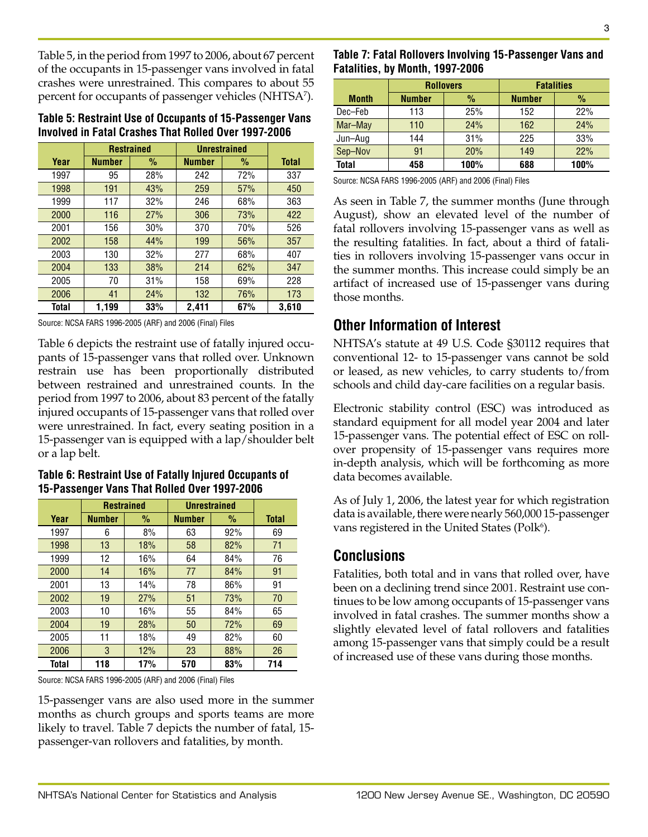Table 5, in the period from 1997 to 2006, about 67 percent of the occupants in 15-passenger vans involved in fatal crashes were unrestrained. This compares to about 55 percent for occupants of passenger vehicles (NHTSA7 ).

| Table 5: Restraint Use of Occupants of 15-Passenger Vans |
|----------------------------------------------------------|
| Involved in Fatal Crashes That Rolled Over 1997-2006     |

|       | <b>Restrained</b> |      | <b>Unrestrained</b> |      |              |
|-------|-------------------|------|---------------------|------|--------------|
| Year  | <b>Number</b>     | $\%$ | <b>Number</b>       | $\%$ | <b>Total</b> |
| 1997  | 95                | 28%  | 242                 | 72%  | 337          |
| 1998  | 191               | 43%  | 259                 | 57%  | 450          |
| 1999  | 117               | 32%  | 246                 | 68%  | 363          |
| 2000  | 116               | 27%  | 306                 | 73%  | 422          |
| 2001  | 156               | 30%  | 370                 | 70%  | 526          |
| 2002  | 158               | 44%  | 199                 | 56%  | 357          |
| 2003  | 130               | 32%  | 277                 | 68%  | 407          |
| 2004  | 133               | 38%  | 214                 | 62%  | 347          |
| 2005  | 70                | 31%  | 158                 | 69%  | 228          |
| 2006  | 41                | 24%  | 132                 | 76%  | 173          |
| Total | 1,199             | 33%  | 2,411               | 67%  | 3,610        |

Source: NCSA FARS 1996-2005 (ARF) and 2006 (Final) Files

Table 6 depicts the restraint use of fatally injured occu pants of 15-passenger vans that rolled over. Unknown restrain use has been proportionally distributed between restrained and unrestrained counts. In the period from 1997 to 2006, about 83 percent of the fatally injured occupants of 15-passenger vans that rolled over were unrestrained. In fact, every seating position in a 15-passenger van is equipped with a lap/shoulder belt or a lap belt.

**Table 6: Restraint Use of Fatally Injured Occupants of 15-Passenger Vans That Rolled Over 1997-2006**

|       | <b>Restrained</b> |      | <b>Unrestrained</b> |      |              |
|-------|-------------------|------|---------------------|------|--------------|
| Year  | <b>Number</b>     | $\%$ | <b>Number</b>       | $\%$ | <b>Total</b> |
| 1997  | 6                 | 8%   | 63                  | 92%  | 69           |
| 1998  | 13                | 18%  | 58                  | 82%  | 71           |
| 1999  | 12                | 16%  | 64                  | 84%  | 76           |
| 2000  | 14                | 16%  | 77                  | 84%  | 91           |
| 2001  | 13                | 14%  | 78                  | 86%  | 91           |
| 2002  | 19                | 27%  | 51                  | 73%  | 70           |
| 2003  | 10                | 16%  | 55                  | 84%  | 65           |
| 2004  | 19                | 28%  | 50                  | 72%  | 69           |
| 2005  | 11                | 18%  | 49                  | 82%  | 60           |
| 2006  | 3                 | 12%  | 23                  | 88%  | 26           |
| Total | 118               | 17%  | 570                 | 83%  | 714          |

Source: NCSA FARS 1996-2005 (ARF) and 2006 (Final) Files

15-passenger vans are also used more in the summer months as church groups and sports teams are more likely to travel. Table 7 depicts the number of fatal, 15 passenger-van rollovers and fatalities, by month.

| Table 7: Fatal Rollovers Involving 15-Passenger Vans and |
|----------------------------------------------------------|
| Fatalities, by Month, 1997-2006                          |

|              | <b>Rollovers</b> |      | <b>Fatalities</b> |      |
|--------------|------------------|------|-------------------|------|
| <b>Month</b> | <b>Number</b>    | $\%$ | <b>Number</b>     | %    |
| Dec-Feb      | 113              | 25%  | 152               | 22%  |
| Mar-May      | 110              | 24%  | 162               | 24%  |
| Jun-Aug      | 144              | 31%  | 225               | 33%  |
| Sep-Nov      | 91               | 20%  | 149               | 22%  |
| <b>Total</b> | 458              | 100% | 688               | 100% |

Source: NCSA FARS 1996-2005 (ARF) and 2006 (Final) Files

As seen in Table 7, the summer months (June through August), show an elevated level of the number of fatal rollovers involving 15-passenger vans as well as the resulting fatalities. In fact, about a third of fatali ties in rollovers involving 15-passenger vans occur in the summer months. This increase could simply be an artifact of increased use of 15-passenger vans during those months.

#### **Other Information of Interest**

NHTSA's statute at 49 U.S. Code §30112 requires that conventional 12- to 15-passenger vans cannot be sold or leased, as new vehicles, to carry students to/from schools and child day-care facilities on a regular basis.

Electronic stability control (ESC) was introduced as standard equipment for all model year 2004 and later 15-passenger vans. The potential effect of ESC on roll over propensity of 15-passenger vans requires more in-depth analysis, which will be forthcoming as more data becomes available.

As of July 1, 2006, the latest year for which registration data is available, there were nearly 560,000 15-passenger vans registered in the United States ( $Polk<sup>6</sup>$ ).

#### **Conclusions**

Fatalities, both total and in vans that rolled over, have been on a declining trend since 2001. Restraint use con tinues to be low among occupants of 15-passenger vans involved in fatal crashes. The summer months show a slightly elevated level of fatal rollovers and fatalities among 15-passenger vans that simply could be a result of increased use of these vans during those months.